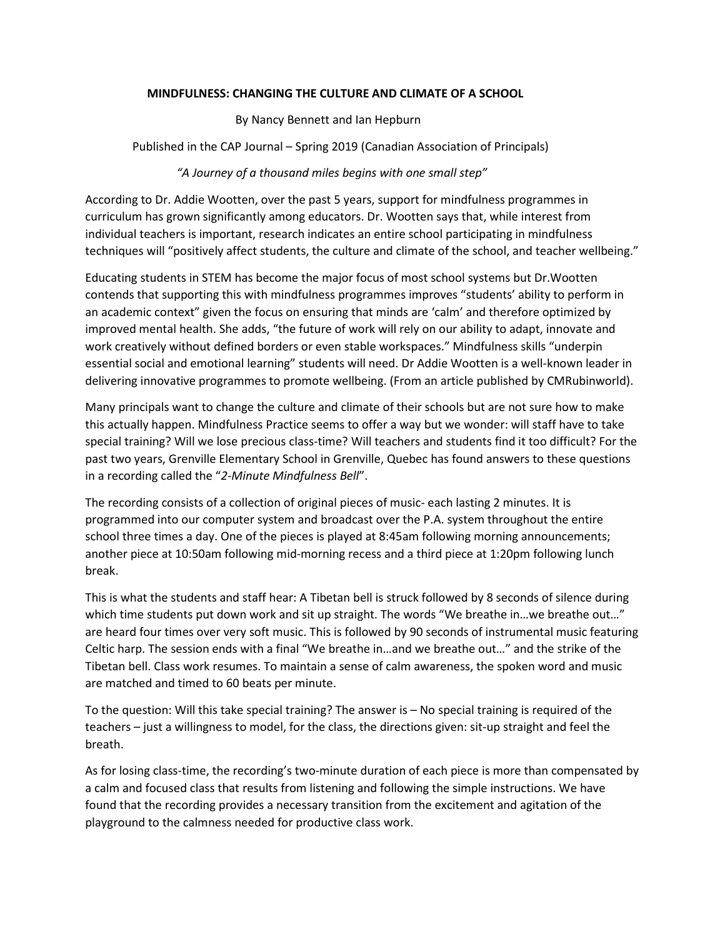# **MINDFULNESS: CHANGING THE CULTURE AND CLIMATE OF A SCHOOL**

By Nancy Bennett and Ian Hepburn

Published in the CAP Journal – Spring 2019 (Canadian Association of Principals)

# *"A Journey of a thousand miles begins with one small step"*

According to Dr. Addie Wootten, over the past 5 years, support for mindfulness programmes in curriculum has grown significantly among educators. Dr. Wootten says that, while interest from individual teachers is important, research indicates an entire school participating in mindfulness techniques will "positively affect students, the culture and climate of the school, and teacher wellbeing."

Educating students in STEM has become the major focus of most school systems but Dr.Wootten contends that supporting this with mindfulness programmes improves "students' ability to perform in an academic context" given the focus on ensuring that minds are 'calm' and therefore optimized by improved mental health. She adds, "the future of work will rely on our ability to adapt, innovate and work creatively without defined borders or even stable workspaces." Mindfulness skills "underpin essential social and emotional learning" students will need. Dr Addie Wootten is a well-known leader in delivering innovative programmes to promote wellbeing. (From an article published by CMRubinworld).

Many principals want to change the culture and climate of their schools but are not sure how to make this actually happen. Mindfulness Practice seems to offer a way but we wonder: will staff have to take special training? Will we lose precious class-time? Will teachers and students find it too difficult? For the past two years, Grenville Elementary School in Grenville, Quebec has found answers to these questions in a recording called the "*2-Minute Mindfulness Bell*".

The recording consists of a collection of original pieces of music- each lasting 2 minutes. It is programmed into our computer system and broadcast over the P.A. system throughout the entire school three times a day. One of the pieces is played at 8:45am following morning announcements; another piece at 10:50am following mid-morning recess and a third piece at 1:20pm following lunch break.

This is what the students and staff hear: A Tibetan bell is struck followed by 8 seconds of silence during which time students put down work and sit up straight. The words "We breathe in...we breathe out..." are heard four times over very soft music. This is followed by 90 seconds of instrumental music featuring Celtic harp. The session ends with a final "We breathe in…and we breathe out…" and the strike of the Tibetan bell. Class work resumes. To maintain a sense of calm awareness, the spoken word and music are matched and timed to 60 beats per minute.

To the question: Will this take special training? The answer is – No special training is required of the teachers – just a willingness to model, for the class, the directions given: sit-up straight and feel the breath.

As for losing class-time, the recording's two-minute duration of each piece is more than compensated by a calm and focused class that results from listening and following the simple instructions. We have found that the recording provides a necessary transition from the excitement and agitation of the playground to the calmness needed for productive class work.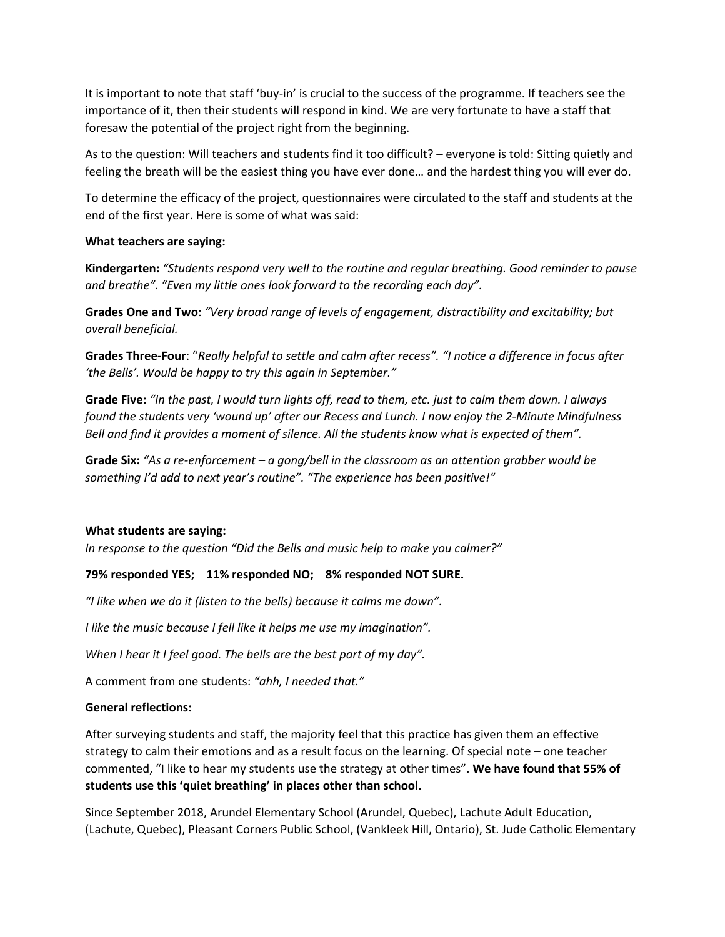It is important to note that staff 'buy-in' is crucial to the success of the programme. If teachers see the importance of it, then their students will respond in kind. We are very fortunate to have a staff that foresaw the potential of the project right from the beginning.

As to the question: Will teachers and students find it too difficult? – everyone is told: Sitting quietly and feeling the breath will be the easiest thing you have ever done… and the hardest thing you will ever do.

To determine the efficacy of the project, questionnaires were circulated to the staff and students at the end of the first year. Here is some of what was said:

## **What teachers are saying:**

**Kindergarten:** *"Students respond very well to the routine and regular breathing. Good reminder to pause and breathe". "Even my little ones look forward to the recording each day".*

**Grades One and Two**: *"Very broad range of levels of engagement, distractibility and excitability; but overall beneficial.*

**Grades Three-Four**: "*Really helpful to settle and calm after recess". "I notice a difference in focus after 'the Bells'. Would be happy to try this again in September."*

**Grade Five:** *"In the past, I would turn lights off, read to them, etc. just to calm them down. I always found the students very 'wound up' after our Recess and Lunch. I now enjoy the 2-Minute Mindfulness Bell and find it provides a moment of silence. All the students know what is expected of them".*

**Grade Six:** *"As a re-enforcement – a gong/bell in the classroom as an attention grabber would be something I'd add to next year's routine". "The experience has been positive!"*

### **What students are saying:**

*In response to the question "Did the Bells and music help to make you calmer?"*

# **79% responded YES; 11% responded NO; 8% responded NOT SURE.**

*"I like when we do it (listen to the bells) because it calms me down".*

*I like the music because I fell like it helps me use my imagination".*

*When I hear it I feel good. The bells are the best part of my day".*

A comment from one students: *"ahh, I needed that."*

### **General reflections:**

After surveying students and staff, the majority feel that this practice has given them an effective strategy to calm their emotions and as a result focus on the learning. Of special note – one teacher commented, "I like to hear my students use the strategy at other times". **We have found that 55% of students use this 'quiet breathing' in places other than school.**

Since September 2018, Arundel Elementary School (Arundel, Quebec), Lachute Adult Education, (Lachute, Quebec), Pleasant Corners Public School, (Vankleek Hill, Ontario), St. Jude Catholic Elementary